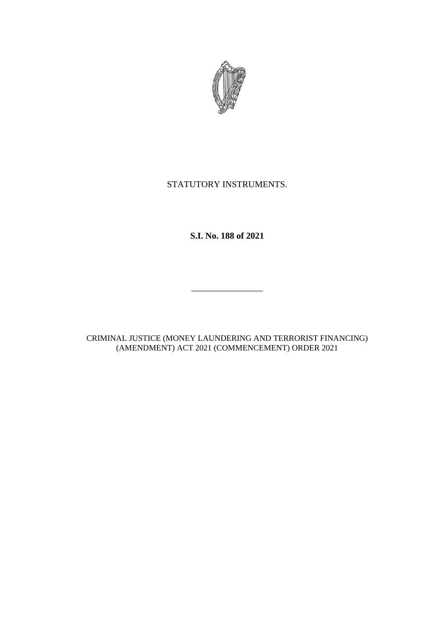

## STATUTORY INSTRUMENTS.

**S.I. No. 188 of 2021**

CRIMINAL JUSTICE (MONEY LAUNDERING AND TERRORIST FINANCING) (AMENDMENT) ACT 2021 (COMMENCEMENT) ORDER 2021

\_\_\_\_\_\_\_\_\_\_\_\_\_\_\_\_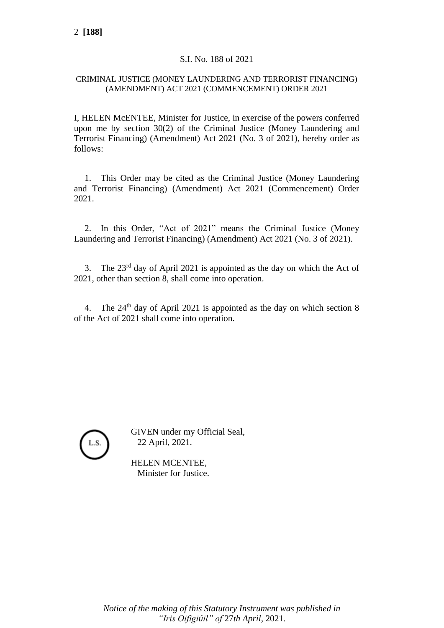## S.I. No. 188 of 2021

## CRIMINAL JUSTICE (MONEY LAUNDERING AND TERRORIST FINANCING) (AMENDMENT) ACT 2021 (COMMENCEMENT) ORDER 2021

I, HELEN McENTEE, Minister for Justice, in exercise of the powers conferred upon me by section 30(2) of the Criminal Justice (Money Laundering and Terrorist Financing) (Amendment) Act 2021 (No. 3 of 2021), hereby order as follows:

1. This Order may be cited as the Criminal Justice (Money Laundering and Terrorist Financing) (Amendment) Act 2021 (Commencement) Order 2021.

2. In this Order, "Act of 2021" means the Criminal Justice (Money Laundering and Terrorist Financing) (Amendment) Act 2021 (No. 3 of 2021).

3. The  $23<sup>rd</sup>$  day of April 2021 is appointed as the day on which the Act of 2021, other than section 8, shall come into operation.

4. The  $24<sup>th</sup>$  day of April 2021 is appointed as the day on which section 8 of the Act of 2021 shall come into operation.



GIVEN under my Official Seal, 22 April, 2021.

HELEN MCENTEE, Minister for Justice.